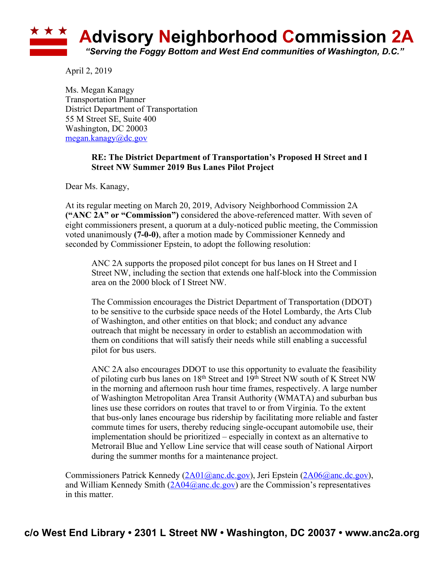

April 2, 2019

Ms. Megan Kanagy Transportation Planner District Department of Transportation 55 M Street SE, Suite 400 Washington, DC 20003 megan.kanagy@dc.gov

## **RE: The District Department of Transportation's Proposed H Street and I Street NW Summer 2019 Bus Lanes Pilot Project**

Dear Ms. Kanagy,

At its regular meeting on March 20, 2019, Advisory Neighborhood Commission 2A **("ANC 2A" or "Commission")** considered the above-referenced matter. With seven of eight commissioners present, a quorum at a duly-noticed public meeting, the Commission voted unanimously **(7-0-0)**, after a motion made by Commissioner Kennedy and seconded by Commissioner Epstein, to adopt the following resolution:

ANC 2A supports the proposed pilot concept for bus lanes on H Street and I Street NW, including the section that extends one half-block into the Commission area on the 2000 block of I Street NW.

The Commission encourages the District Department of Transportation (DDOT) to be sensitive to the curbside space needs of the Hotel Lombardy, the Arts Club of Washington, and other entities on that block; and conduct any advance outreach that might be necessary in order to establish an accommodation with them on conditions that will satisfy their needs while still enabling a successful pilot for bus users.

ANC 2A also encourages DDOT to use this opportunity to evaluate the feasibility of piloting curb bus lanes on  $18<sup>th</sup>$  Street and  $19<sup>th</sup>$  Street NW south of K Street NW in the morning and afternoon rush hour time frames, respectively. A large number of Washington Metropolitan Area Transit Authority (WMATA) and suburban bus lines use these corridors on routes that travel to or from Virginia. To the extent that bus-only lanes encourage bus ridership by facilitating more reliable and faster commute times for users, thereby reducing single-occupant automobile use, their implementation should be prioritized – especially in context as an alternative to Metrorail Blue and Yellow Line service that will cease south of National Airport during the summer months for a maintenance project.

Commissioners Patrick Kennedy (2A01@anc.dc.gov), Jeri Epstein (2A06@anc.dc.gov), and William Kennedy Smith  $(2A04@anc.dc.gov)$  are the Commission's representatives in this matter.